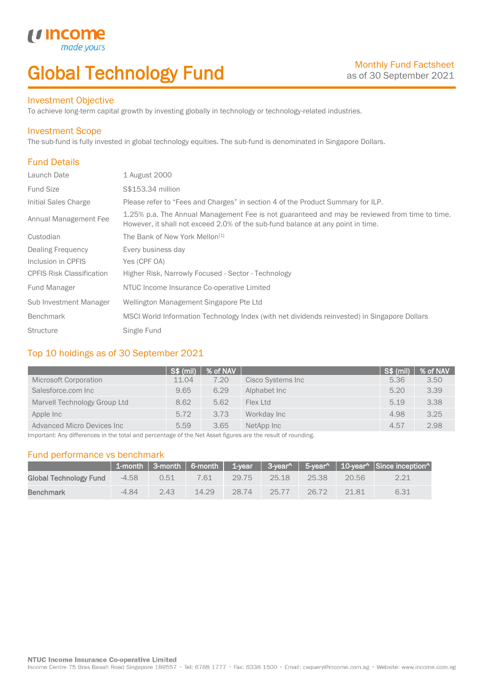# Global Technology Fund

### Investment Objective

made<sub>1</sub>

*u* incom

To achieve long-term capital growth by investing globally in technology or technology-related industries.

#### Investment Scope

The sub-fund is fully invested in global technology equities. The sub-fund is denominated in Singapore Dollars.

## Fund Details

I

| Launch Date                      | 1 August 2000                                                                                                                                                                    |
|----------------------------------|----------------------------------------------------------------------------------------------------------------------------------------------------------------------------------|
| <b>Fund Size</b>                 | S\$153.34 million                                                                                                                                                                |
| Initial Sales Charge             | Please refer to "Fees and Charges" in section 4 of the Product Summary for ILP.                                                                                                  |
| Annual Management Fee            | 1.25% p.a. The Annual Management Fee is not guaranteed and may be reviewed from time to time.<br>However, it shall not exceed 2.0% of the sub-fund balance at any point in time. |
| Custodian                        | The Bank of New York Mellon <sup>[1]</sup>                                                                                                                                       |
| Dealing Frequency                | Every business day                                                                                                                                                               |
| Inclusion in CPFIS               | Yes (CPF OA)                                                                                                                                                                     |
| <b>CPFIS Risk Classification</b> | Higher Risk, Narrowly Focused - Sector - Technology                                                                                                                              |
| <b>Fund Manager</b>              | NTUC Income Insurance Co-operative Limited                                                                                                                                       |
| Sub Investment Manager           | Wellington Management Singapore Pte Ltd                                                                                                                                          |
| <b>Benchmark</b>                 | MSCI World Information Technology Index (with net dividends reinvested) in Singapore Dollars                                                                                     |
| <b>Structure</b>                 | Single Fund                                                                                                                                                                      |

### Top 10 holdings as of 30 September 2021

|                              | <b>S\$ (mil)</b> | % of NAV |                   | S\$ (mil) | % of NAV |
|------------------------------|------------------|----------|-------------------|-----------|----------|
| <b>Microsoft Corporation</b> | 11.04            | 7.20     | Cisco Systems Inc | 5.36      | 3.50     |
| Salesforce.com Inc           | 9.65             | 6.29     | Alphabet Inc      | 5.20      | 3.39     |
| Marvell Technology Group Ltd | 8.62             | 5.62     | Flex Ltd          | 5.19      | 3.38     |
| Apple Inc                    | 5.72             | 3.73     | Workday Inc       | 4.98      | 3.25     |
| Advanced Micro Devices Inc.  | 5.59             | 3.65     | NetApp Inc        | 4.57      | 2.98     |

Important: Any differences in the total and percentage of the Net Asset figures are the result of rounding.

### Fund performance vs benchmark

|                        |         |      |       |       |       |       |       | 1-month   3-month   6-month   1-year   3-year^   5-year^   10-year^   Since inception^ |
|------------------------|---------|------|-------|-------|-------|-------|-------|----------------------------------------------------------------------------------------|
| Global Technology Fund | $-4.58$ | 0.51 | 7.61  | 29.75 | 25.18 | 25.38 | 20.56 | 2.21                                                                                   |
| <b>Benchmark</b>       | $-4.84$ | 2.43 | 14.29 | 28.74 | 25.77 | 26.72 | 2181  | 6.31                                                                                   |

Income Centre 75 Bras Basah Road Singapore 189557 · Tel: 6788 1777 · Fax: 6338 1500 · Email: csquery@income.com.sg · Website: www.income.com.sg